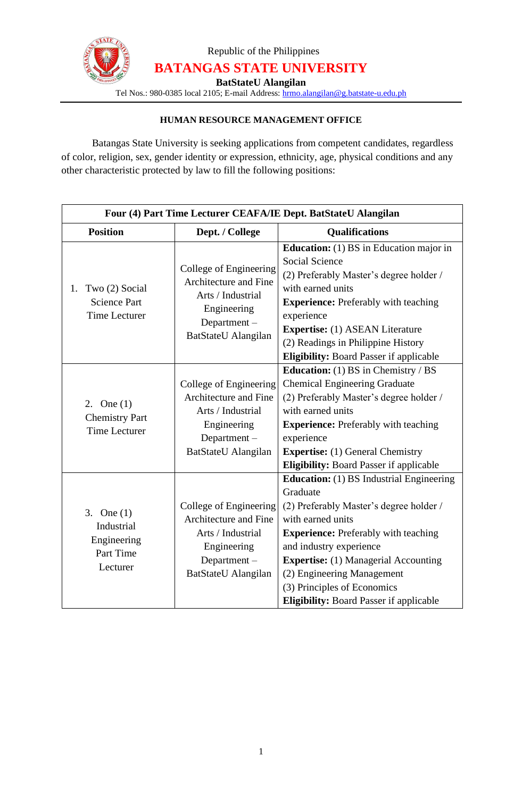

Republic of the Philippines **BATANGAS STATE UNIVERSITY**

**BatStateU Alangilan**

Tel Nos.: 980-0385 local 2105; E-mail Address: [hrmo.alangilan@g.batstate-u.edu.ph](mailto:hrmo.alangilan@g.batstate-u.edu.ph)

## **HUMAN RESOURCE MANAGEMENT OFFICE**

Batangas State University is seeking applications from competent candidates, regardless of color, religion, sex, gender identity or expression, ethnicity, age, physical conditions and any other characteristic protected by law to fill the following positions:

| Four (4) Part Time Lecturer CEAFA/IE Dept. BatStateU Alangilan      |                                                                                                                              |                                                                                                                                                                                                                                                                                                                                                                     |
|---------------------------------------------------------------------|------------------------------------------------------------------------------------------------------------------------------|---------------------------------------------------------------------------------------------------------------------------------------------------------------------------------------------------------------------------------------------------------------------------------------------------------------------------------------------------------------------|
| <b>Position</b>                                                     | Dept. / College                                                                                                              | <b>Qualifications</b>                                                                                                                                                                                                                                                                                                                                               |
| Two (2) Social<br>1.<br><b>Science Part</b><br><b>Time Lecturer</b> | College of Engineering<br>Architecture and Fine<br>Arts / Industrial<br>Engineering<br>Department $-$<br>BatStateU Alangilan | <b>Education:</b> (1) BS in Education major in<br><b>Social Science</b><br>(2) Preferably Master's degree holder /<br>with earned units<br><b>Experience:</b> Preferably with teaching<br>experience<br><b>Expertise:</b> (1) ASEAN Literature<br>(2) Readings in Philippine History<br><b>Eligibility:</b> Board Passer if applicable                              |
| 2. One $(1)$<br><b>Chemistry Part</b><br><b>Time Lecturer</b>       | College of Engineering<br>Architecture and Fine<br>Arts / Industrial<br>Engineering<br>Department-<br>BatStateU Alangilan    | <b>Education:</b> (1) BS in Chemistry / BS<br><b>Chemical Engineering Graduate</b><br>(2) Preferably Master's degree holder /<br>with earned units<br><b>Experience:</b> Preferably with teaching<br>experience<br><b>Expertise:</b> (1) General Chemistry<br><b>Eligibility:</b> Board Passer if applicable                                                        |
| 3. One $(1)$<br>Industrial<br>Engineering<br>Part Time<br>Lecturer  | College of Engineering<br>Architecture and Fine<br>Arts / Industrial<br>Engineering<br>Department-<br>BatStateU Alangilan    | <b>Education:</b> (1) BS Industrial Engineering<br>Graduate<br>(2) Preferably Master's degree holder /<br>with earned units<br><b>Experience:</b> Preferably with teaching<br>and industry experience<br><b>Expertise:</b> (1) Managerial Accounting<br>(2) Engineering Management<br>(3) Principles of Economics<br><b>Eligibility:</b> Board Passer if applicable |